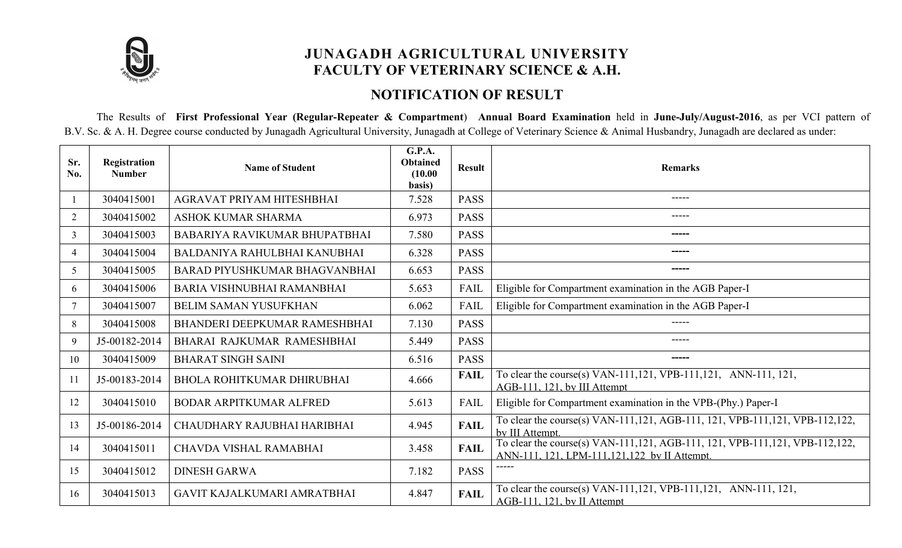

# JUNAGADH AGRICULTURAL UNIVERSITY FACULTY OF VETERINARY SCIENCE & A.H.

#### NOTIFICATION OF RESULT

The Results of First Professional Year (Regular-Repeater & Compartment) Annual Board Examination held in June-July/August-2016, as per VCI pattern of B.V. Sc. & A. H. Degree course conducted by Junagadh Agricultural University, Junagadh at College of Veterinary Science & Animal Husbandry, Junagadh are declared as under:

| Sr.<br>No.     | Registration<br><b>Number</b> | <b>Name of Student</b>               | <b>G.P.A.</b><br>Obtained<br>(10.00)<br>basis) | <b>Result</b> | <b>Remarks</b>                                                                                                                |
|----------------|-------------------------------|--------------------------------------|------------------------------------------------|---------------|-------------------------------------------------------------------------------------------------------------------------------|
|                | 3040415001                    | AGRAVAT PRIYAM HITESHBHAI            | 7.528                                          | <b>PASS</b>   | -----                                                                                                                         |
| $\overline{2}$ | 3040415002                    | ASHOK KUMAR SHARMA                   | 6.973                                          | <b>PASS</b>   | -----                                                                                                                         |
| $\overline{3}$ | 3040415003                    | <b>BABARIYA RAVIKUMAR BHUPATBHAI</b> | 7.580                                          | <b>PASS</b>   | -----                                                                                                                         |
| 4              | 3040415004                    | BALDANIYA RAHULBHAI KANUBHAI         | 6.328                                          | <b>PASS</b>   | -----                                                                                                                         |
| 5              | 3040415005                    | <b>BARAD PIYUSHKUMAR BHAGVANBHAI</b> | 6.653                                          | <b>PASS</b>   | -----                                                                                                                         |
| 6              | 3040415006                    | <b>BARIA VISHNUBHAI RAMANBHAI</b>    | 5.653                                          | FAIL          | Eligible for Compartment examination in the AGB Paper-I                                                                       |
|                | 3040415007                    | <b>BELIM SAMAN YUSUFKHAN</b>         | 6.062                                          | <b>FAIL</b>   | Eligible for Compartment examination in the AGB Paper-I                                                                       |
| 8              | 3040415008                    | BHANDERI DEEPKUMAR RAMESHBHAI        | 7.130                                          | <b>PASS</b>   | -----                                                                                                                         |
| 9              | J5-00182-2014                 | BHARAI RAJKUMAR RAMESHBHAI           | 5.449                                          | <b>PASS</b>   | -----                                                                                                                         |
| 10             | 3040415009                    | <b>BHARAT SINGH SAINI</b>            | 6.516                                          | <b>PASS</b>   | -----                                                                                                                         |
| 11             | J5-00183-2014                 | <b>BHOLA ROHITKUMAR DHIRUBHAI</b>    | 4.666                                          | <b>FAIL</b>   | To clear the course(s) VAN-111,121, VPB-111,121, ANN-111, 121,<br>AGB-111. 121. by III Attempt                                |
| 12             | 3040415010                    | <b>BODAR ARPITKUMAR ALFRED</b>       | 5.613                                          | <b>FAIL</b>   | Eligible for Compartment examination in the VPB-(Phy.) Paper-I                                                                |
| 13             | J5-00186-2014                 | CHAUDHARY RAJUBHAI HARIBHAI          | 4.945                                          | <b>FAIL</b>   | To clear the course(s) VAN-111,121, AGB-111, 121, VPB-111,121, VPB-112,122,<br>by III Attempt.                                |
| 14             | 3040415011                    | CHAVDA VISHAL RAMABHAI               | 3.458                                          | <b>FAIL</b>   | To clear the course(s) VAN-111,121, AGB-111, 121, VPB-111,121, VPB-112,122,<br>ANN-111, 121, LPM-111, 121, 122 by II Attempt. |
| 15             | 3040415012                    | <b>DINESH GARWA</b>                  | 7.182                                          | <b>PASS</b>   |                                                                                                                               |
| 16             | 3040415013                    | GAVIT KAJALKUMARI AMRATBHAI          | 4.847                                          | <b>FAIL</b>   | To clear the course(s) VAN-111,121, VPB-111,121, ANN-111, 121,<br>AGB-111, 121, by II Attempt                                 |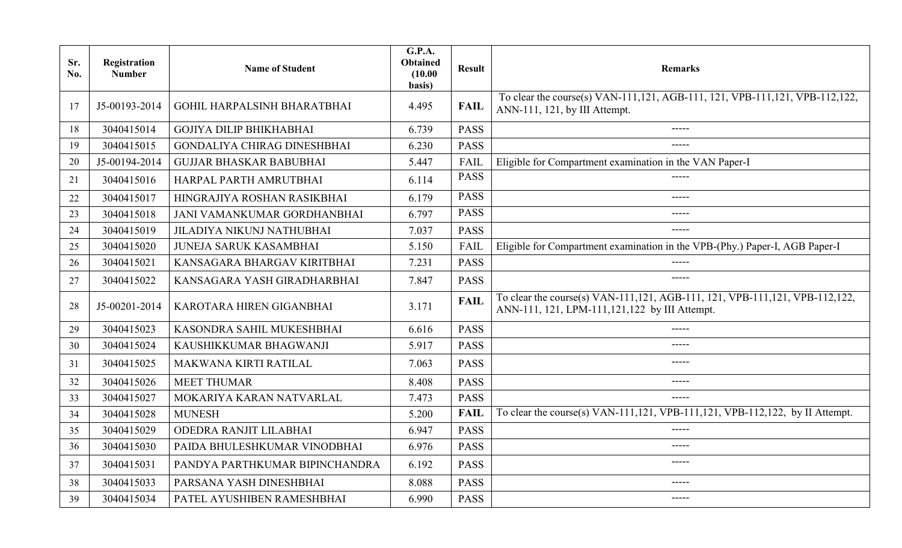| Sr.<br>No. | Registration<br><b>Number</b> | <b>Name of Student</b>             | G.P.A.<br><b>Obtained</b><br>(10.00)<br>basis) | <b>Result</b> | <b>Remarks</b>                                                                                                                 |
|------------|-------------------------------|------------------------------------|------------------------------------------------|---------------|--------------------------------------------------------------------------------------------------------------------------------|
| 17         | J5-00193-2014                 | <b>GOHIL HARPALSINH BHARATBHAI</b> | 4.495                                          | <b>FAIL</b>   | To clear the course(s) VAN-111, 121, AGB-111, 121, VPB-111, 121, VPB-112, 122,<br>ANN-111, 121, by III Attempt.                |
| 18         | 3040415014                    | <b>GOJIYA DILIP BHIKHABHAI</b>     | 6.739                                          | <b>PASS</b>   | -----                                                                                                                          |
| 19         | 3040415015                    | <b>GONDALIYA CHIRAG DINESHBHAI</b> | 6.230                                          | <b>PASS</b>   | -----                                                                                                                          |
| 20         | J5-00194-2014                 | <b>GUJJAR BHASKAR BABUBHAI</b>     | 5.447                                          | FAIL          | Eligible for Compartment examination in the VAN Paper-I                                                                        |
| 21         | 3040415016                    | HARPAL PARTH AMRUTBHAI             | 6.114                                          | <b>PASS</b>   | -----                                                                                                                          |
| 22         | 3040415017                    | HINGRAJIYA ROSHAN RASIKBHAI        | 6.179                                          | PASS          | -----                                                                                                                          |
| 23         | 3040415018                    | JANI VAMANKUMAR GORDHANBHAI        | 6.797                                          | <b>PASS</b>   | -----                                                                                                                          |
| 24         | 3040415019                    | <b>JILADIYA NIKUNJ NATHUBHAI</b>   | 7.037                                          | <b>PASS</b>   | -----                                                                                                                          |
| 25         | 3040415020                    | <b>JUNEJA SARUK KASAMBHAI</b>      | 5.150                                          | <b>FAIL</b>   | Eligible for Compartment examination in the VPB-(Phy.) Paper-I, AGB Paper-I                                                    |
| 26         | 3040415021                    | KANSAGARA BHARGAV KIRITBHAI        | 7.231                                          | <b>PASS</b>   | -----                                                                                                                          |
| 27         | 3040415022                    | KANSAGARA YASH GIRADHARBHAI        | 7.847                                          | <b>PASS</b>   | $- - - - -$                                                                                                                    |
| 28         | J5-00201-2014                 | KAROTARA HIREN GIGANBHAI           | 3.171                                          | <b>FAIL</b>   | To clear the course(s) VAN-111,121, AGB-111, 121, VPB-111,121, VPB-112,122,<br>ANN-111, 121, LPM-111, 121, 122 by III Attempt. |
| 29         | 3040415023                    | KASONDRA SAHIL MUKESHBHAI          | 6.616                                          | <b>PASS</b>   | $- - - - -$                                                                                                                    |
| 30         | 3040415024                    | KAUSHIKKUMAR BHAGWANJI             | 5.917                                          | <b>PASS</b>   | $\frac{1}{2}$                                                                                                                  |
| 31         | 3040415025                    | MAKWANA KIRTI RATILAL              | 7.063                                          | <b>PASS</b>   | $- - - - -$                                                                                                                    |
| 32         | 3040415026                    | <b>MEET THUMAR</b>                 | 8.408                                          | <b>PASS</b>   | $- - - - -$                                                                                                                    |
| 33         | 3040415027                    | MOKARIYA KARAN NATVARLAL           | 7.473                                          | <b>PASS</b>   | $- - - - -$                                                                                                                    |
| 34         | 3040415028                    | <b>MUNESH</b>                      | 5.200                                          | <b>FAIL</b>   | To clear the course(s) VAN-111,121, VPB-111,121, VPB-112,122, by II Attempt.                                                   |
| 35         | 3040415029                    | ODEDRA RANJIT LILABHAI             | 6.947                                          | <b>PASS</b>   | -----                                                                                                                          |
| 36         | 3040415030                    | PAIDA BHULESHKUMAR VINODBHAI       | 6.976                                          | <b>PASS</b>   | -----                                                                                                                          |
| 37         | 3040415031                    | PANDYA PARTHKUMAR BIPINCHANDRA     | 6.192                                          | <b>PASS</b>   |                                                                                                                                |
| 38         | 3040415033                    | PARSANA YASH DINESHBHAI            | 8.088                                          | <b>PASS</b>   | -----                                                                                                                          |
| 39         | 3040415034                    | PATEL AYUSHIBEN RAMESHBHAI         | 6.990                                          | <b>PASS</b>   | $- - - - -$                                                                                                                    |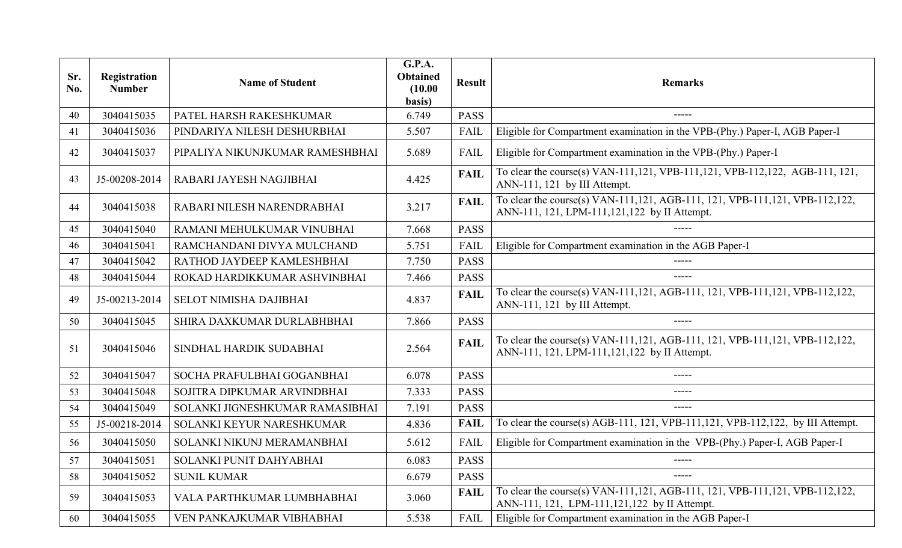| Sr.<br>No. | Registration<br><b>Number</b> | <b>Name of Student</b>          | G.P.A.<br><b>Obtained</b><br>(10.00)<br>basis) | <b>Result</b> | <b>Remarks</b>                                                                                                                   |
|------------|-------------------------------|---------------------------------|------------------------------------------------|---------------|----------------------------------------------------------------------------------------------------------------------------------|
| 40         | 3040415035                    | PATEL HARSH RAKESHKUMAR         | 6.749                                          | <b>PASS</b>   | -----                                                                                                                            |
| 41         | 3040415036                    | PINDARIYA NILESH DESHURBHAI     | 5.507                                          | <b>FAIL</b>   | Eligible for Compartment examination in the VPB-(Phy.) Paper-I, AGB Paper-I                                                      |
| 42         | 3040415037                    | PIPALIYA NIKUNJKUMAR RAMESHBHAI | 5.689                                          | <b>FAIL</b>   | Eligible for Compartment examination in the VPB-(Phy.) Paper-I                                                                   |
| 43         | J5-00208-2014                 | RABARI JAYESH NAGJIBHAI         | 4.425                                          | <b>FAIL</b>   | To clear the course(s) VAN-111,121, VPB-111,121, VPB-112,122, AGB-111, 121,<br>ANN-111, 121 by III Attempt.                      |
| 44         | 3040415038                    | RABARI NILESH NARENDRABHAI      | 3.217                                          | <b>FAIL</b>   | To clear the course(s) VAN-111, 121, AGB-111, 121, VPB-111, 121, VPB-112, 122,<br>ANN-111, 121, LPM-111, 121, 122 by II Attempt. |
| 45         | 3040415040                    | RAMANI MEHULKUMAR VINUBHAI      | 7.668                                          | <b>PASS</b>   | -----                                                                                                                            |
| 46         | 3040415041                    | RAMCHANDANI DIVYA MULCHAND      | 5.751                                          | <b>FAIL</b>   | Eligible for Compartment examination in the AGB Paper-I                                                                          |
| 47         | 3040415042                    | RATHOD JAYDEEP KAMLESHBHAI      | 7.750                                          | <b>PASS</b>   | -----                                                                                                                            |
| 48         | 3040415044                    | ROKAD HARDIKKUMAR ASHVINBHAI    | 7.466                                          | <b>PASS</b>   | -----                                                                                                                            |
| 49         | J5-00213-2014                 | <b>SELOT NIMISHA DAJIBHAI</b>   | 4.837                                          | <b>FAIL</b>   | To clear the course(s) VAN-111,121, AGB-111, 121, VPB-111,121, VPB-112,122,<br>ANN-111, 121 by III Attempt.                      |
| 50         | 3040415045                    | SHIRA DAXKUMAR DURLABHBHAI      | 7.866                                          | <b>PASS</b>   | $\frac{1}{2}$                                                                                                                    |
| 51         | 3040415046                    | SINDHAL HARDIK SUDABHAI         | 2.564                                          | <b>FAIL</b>   | To clear the course(s) VAN-111, 121, AGB-111, 121, VPB-111, 121, VPB-112, 122,<br>ANN-111, 121, LPM-111, 121, 122 by II Attempt. |
| 52         | 3040415047                    | SOCHA PRAFULBHAI GOGANBHAI      | 6.078                                          | <b>PASS</b>   |                                                                                                                                  |
| 53         | 3040415048                    | SOJITRA DIPKUMAR ARVINDBHAI     | 7.333                                          | <b>PASS</b>   | -----                                                                                                                            |
| 54         | 3040415049                    | SOLANKI JIGNESHKUMAR RAMASIBHAI | 7.191                                          | <b>PASS</b>   | -----                                                                                                                            |
| 55         | J5-00218-2014                 | SOLANKI KEYUR NARESHKUMAR       | 4.836                                          | <b>FAIL</b>   | To clear the course(s) AGB-111, 121, VPB-111, 121, VPB-112, 122, by III Attempt.                                                 |
| 56         | 3040415050                    | SOLANKI NIKUNJ MERAMANBHAI      | 5.612                                          | FAIL          | Eligible for Compartment examination in the VPB-(Phy.) Paper-I, AGB Paper-I                                                      |
| 57         | 3040415051                    | SOLANKI PUNIT DAHYABHAI         | 6.083                                          | <b>PASS</b>   |                                                                                                                                  |
| 58         | 3040415052                    | <b>SUNIL KUMAR</b>              | 6.679                                          | <b>PASS</b>   | -----                                                                                                                            |
| 59         | 3040415053                    | VALA PARTHKUMAR LUMBHABHAI      | 3.060                                          | <b>FAIL</b>   | To clear the course(s) VAN-111, 121, AGB-111, 121, VPB-111, 121, VPB-112, 122,<br>ANN-111, 121, LPM-111, 121, 122 by II Attempt. |
| 60         | 3040415055                    | VEN PANKAJKUMAR VIBHABHAI       | 5.538                                          | <b>FAIL</b>   | Eligible for Compartment examination in the AGB Paper-I                                                                          |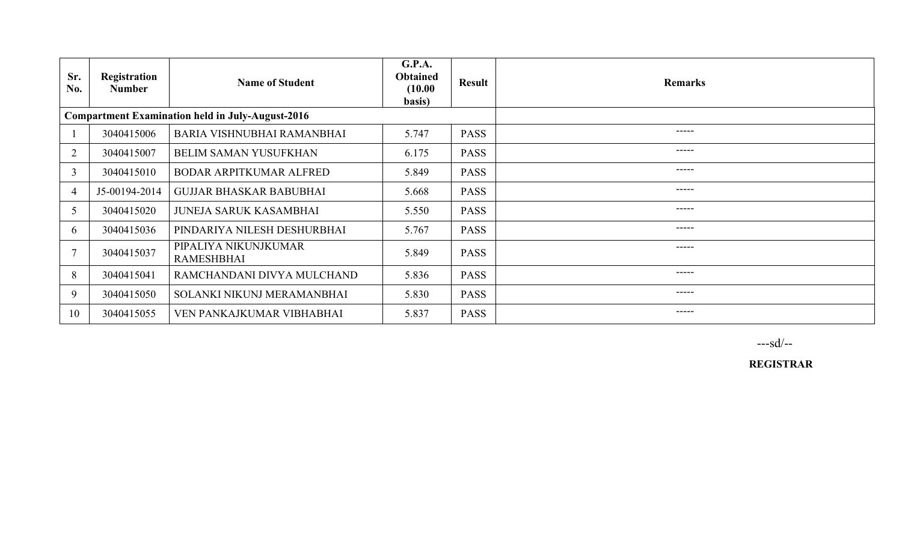| Sr.<br>No.     | Registration<br><b>Number</b> | <b>Name of Student</b>                                  | <b>G.P.A.</b><br><b>Obtained</b><br>(10.00)<br>basis) | <b>Result</b> | <b>Remarks</b> |
|----------------|-------------------------------|---------------------------------------------------------|-------------------------------------------------------|---------------|----------------|
|                |                               | <b>Compartment Examination held in July-August-2016</b> |                                                       |               |                |
|                | 3040415006                    | BARIA VISHNUBHAI RAMANBHAI                              | 5.747                                                 | <b>PASS</b>   | -----          |
| $\overline{2}$ | 3040415007                    | <b>BELIM SAMAN YUSUFKHAN</b>                            | 6.175                                                 | <b>PASS</b>   | -----          |
| 3              | 3040415010                    | <b>BODAR ARPITKUMAR ALFRED</b>                          | 5.849                                                 | <b>PASS</b>   | $\frac{1}{2}$  |
| $\overline{4}$ | J5-00194-2014                 | <b>GUJJAR BHASKAR BABUBHAI</b>                          | 5.668                                                 | <b>PASS</b>   | -----          |
| 5              | 3040415020                    | <b>JUNEJA SARUK KASAMBHAI</b>                           | 5.550                                                 | <b>PASS</b>   | -----          |
| 6              | 3040415036                    | PINDARIYA NILESH DESHURBHAI                             | 5.767                                                 | <b>PASS</b>   | $- - - - -$    |
|                | 3040415037                    | PIPALIYA NIKUNJKUMAR<br><b>RAMESHBHAI</b>               | 5.849                                                 | <b>PASS</b>   | -----          |
| 8              | 3040415041                    | RAMCHANDANI DIVYA MULCHAND                              | 5.836                                                 | <b>PASS</b>   | -----          |
| 9              | 3040415050                    | SOLANKI NIKUNJ MERAMANBHAI                              | 5.830                                                 | <b>PASS</b>   | -----          |
| 10             | 3040415055                    | VEN PANKAJKUMAR VIBHABHAI                               | 5.837                                                 | <b>PASS</b>   | -----          |

---sd/--

REGISTRAR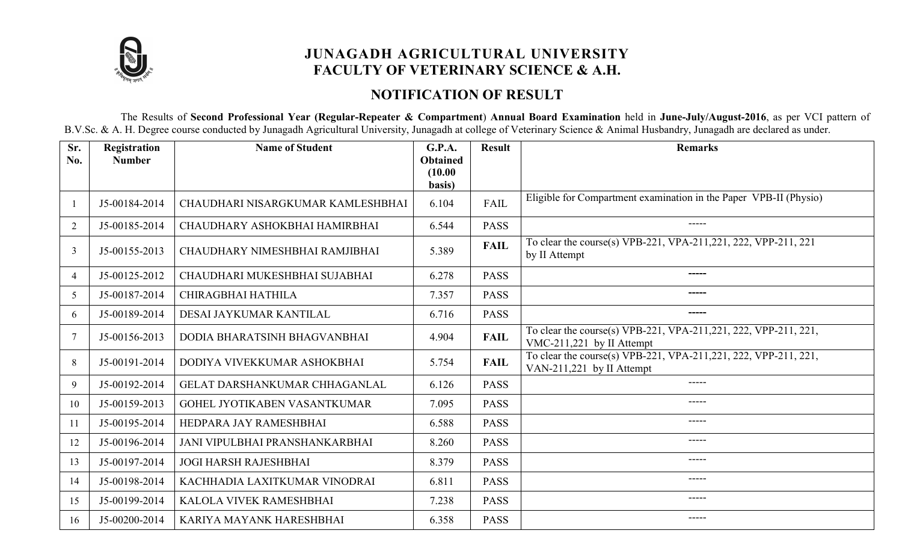

# JUNAGADH AGRICULTURAL UNIVERSITY FACULTY OF VETERINARY SCIENCE & A.H.

# NOTIFICATION OF RESULT

The Results of Second Professional Year (Regular-Repeater & Compartment) Annual Board Examination held in June-July/August-2016, as per VCI pattern of B.V.Sc. & A. H. Degree course conducted by Junagadh Agricultural University, Junagadh at college of Veterinary Science & Animal Husbandry, Junagadh are declared as under.

| Sr.<br>No.     | <b>Registration</b><br><b>Number</b> | <b>Name of Student</b>            | G.P.A.<br><b>Obtained</b> | <b>Result</b> | <b>Remarks</b>                                                                                |
|----------------|--------------------------------------|-----------------------------------|---------------------------|---------------|-----------------------------------------------------------------------------------------------|
|                |                                      |                                   | (10.00)<br>basis)         |               |                                                                                               |
|                | J5-00184-2014                        | CHAUDHARI NISARGKUMAR KAMLESHBHAI | 6.104                     | FAIL          | Eligible for Compartment examination in the Paper VPB-II (Physio)                             |
| $\overline{2}$ | J5-00185-2014                        | CHAUDHARY ASHOKBHAI HAMIRBHAI     | 6.544                     | <b>PASS</b>   | $\qquad \qquad - - - -$                                                                       |
| $\overline{3}$ | J5-00155-2013                        | CHAUDHARY NIMESHBHAI RAMJIBHAI    | 5.389                     | <b>FAIL</b>   | To clear the course(s) VPB-221, VPA-211, 221, 222, VPP-211, 221<br>by II Attempt              |
| 4              | J5-00125-2012                        | CHAUDHARI MUKESHBHAI SUJABHAI     | 6.278                     | <b>PASS</b>   | -----                                                                                         |
| 5              | J5-00187-2014                        | CHIRAGBHAI HATHILA                | 7.357                     | <b>PASS</b>   | -----                                                                                         |
| 6              | J5-00189-2014                        | DESAI JAYKUMAR KANTILAL           | 6.716                     | <b>PASS</b>   | ------                                                                                        |
| 7              | J5-00156-2013                        | DODIA BHARATSINH BHAGVANBHAI      | 4.904                     | <b>FAIL</b>   | To clear the course(s) VPB-221, VPA-211, 221, 222, VPP-211, 221,<br>VMC-211,221 by II Attempt |
| 8              | J5-00191-2014                        | DODIYA VIVEKKUMAR ASHOKBHAI       | 5.754                     | <b>FAIL</b>   | To clear the course(s) VPB-221, VPA-211, 221, 222, VPP-211, 221,<br>VAN-211,221 by II Attempt |
| 9              | J5-00192-2014                        | GELAT DARSHANKUMAR CHHAGANLAL     | 6.126                     | <b>PASS</b>   | $\frac{1}{2}$                                                                                 |
| 10             | J5-00159-2013                        | GOHEL JYOTIKABEN VASANTKUMAR      | 7.095                     | <b>PASS</b>   | -----                                                                                         |
| 11             | J5-00195-2014                        | HEDPARA JAY RAMESHBHAI            | 6.588                     | <b>PASS</b>   | $- - - - -$                                                                                   |
| 12             | J5-00196-2014                        | JANI VIPULBHAI PRANSHANKARBHAI    | 8.260                     | <b>PASS</b>   | -----                                                                                         |
| 13             | J5-00197-2014                        | <b>JOGI HARSH RAJESHBHAI</b>      | 8.379                     | <b>PASS</b>   | -----                                                                                         |
| 14             | J5-00198-2014                        | KACHHADIA LAXITKUMAR VINODRAI     | 6.811                     | <b>PASS</b>   | -----                                                                                         |
| 15             | J5-00199-2014                        | KALOLA VIVEK RAMESHBHAI           | 7.238                     | <b>PASS</b>   | $\frac{1}{2}$                                                                                 |
| 16             | J5-00200-2014                        | KARIYA MAYANK HARESHBHAI          | 6.358                     | <b>PASS</b>   | -----                                                                                         |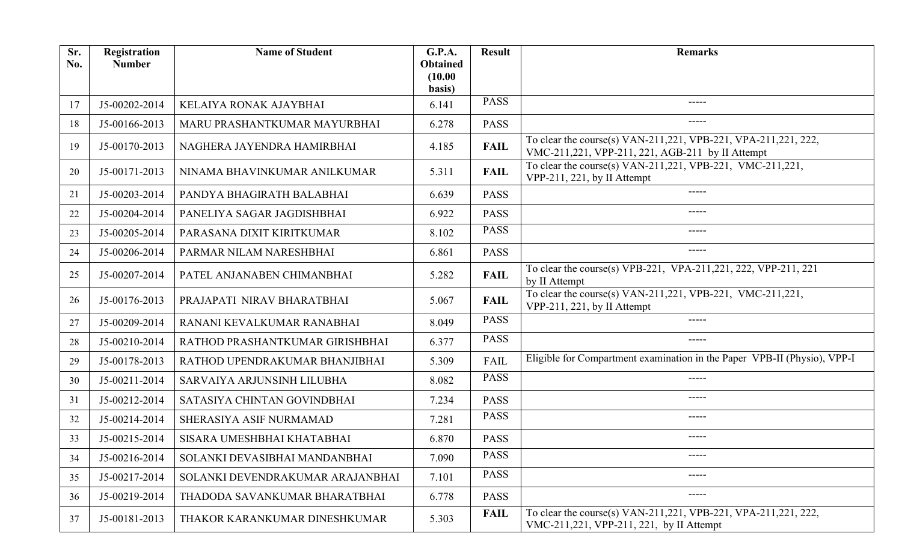| Sr.<br>No. | Registration<br><b>Number</b> | <b>Name of Student</b>           | G.P.A.<br><b>Obtained</b><br>(10.00) | <b>Result</b> | <b>Remarks</b>                                                                                                     |
|------------|-------------------------------|----------------------------------|--------------------------------------|---------------|--------------------------------------------------------------------------------------------------------------------|
| 17         | J5-00202-2014                 | KELAIYA RONAK AJAYBHAI           | basis)<br>6.141                      | <b>PASS</b>   | -----                                                                                                              |
|            |                               |                                  |                                      | <b>PASS</b>   | -----                                                                                                              |
| 18         | J5-00166-2013                 | MARU PRASHANTKUMAR MAYURBHAI     | 6.278                                |               |                                                                                                                    |
| 19         | J5-00170-2013                 | NAGHERA JAYENDRA HAMIRBHAI       | 4.185                                | <b>FAIL</b>   | To clear the course(s) VAN-211,221, VPB-221, VPA-211,221, 222,<br>VMC-211,221, VPP-211, 221, AGB-211 by II Attempt |
| 20         | J5-00171-2013                 | NINAMA BHAVINKUMAR ANILKUMAR     | 5.311                                | <b>FAIL</b>   | To clear the course(s) VAN-211, 221, VPB-221, VMC-211, 221,<br>VPP-211, 221, by II Attempt                         |
| 21         | J5-00203-2014                 | PANDYA BHAGIRATH BALABHAI        | 6.639                                | <b>PASS</b>   | -----                                                                                                              |
| 22         | J5-00204-2014                 | PANELIYA SAGAR JAGDISHBHAI       | 6.922                                | <b>PASS</b>   | $- - - - -$                                                                                                        |
| 23         | J5-00205-2014                 | PARASANA DIXIT KIRITKUMAR        | 8.102                                | <b>PASS</b>   | -----                                                                                                              |
| 24         | J5-00206-2014                 | PARMAR NILAM NARESHBHAI          | 6.861                                | <b>PASS</b>   | $- - - - -$                                                                                                        |
| 25         | J5-00207-2014                 | PATEL ANJANABEN CHIMANBHAI       | 5.282                                | <b>FAIL</b>   | To clear the course(s) VPB-221, VPA-211, 221, 222, VPP-211, 221<br>by II Attempt                                   |
| 26         | J5-00176-2013                 | PRAJAPATI NIRAV BHARATBHAI       | 5.067                                | <b>FAIL</b>   | To clear the course(s) VAN-211,221, VPB-221, VMC-211,221,<br>VPP-211, 221, by II Attempt                           |
| 27         | J5-00209-2014                 | RANANI KEVALKUMAR RANABHAI       | 8.049                                | <b>PASS</b>   | -----                                                                                                              |
| 28         | J5-00210-2014                 | RATHOD PRASHANTKUMAR GIRISHBHAI  | 6.377                                | <b>PASS</b>   | $--- -$                                                                                                            |
| 29         | J5-00178-2013                 | RATHOD UPENDRAKUMAR BHANJIBHAI   | 5.309                                | <b>FAIL</b>   | Eligible for Compartment examination in the Paper VPB-II (Physio), VPP-I                                           |
| 30         | J5-00211-2014                 | SARVAIYA ARJUNSINH LILUBHA       | 8.082                                | <b>PASS</b>   | -----                                                                                                              |
| 31         | J5-00212-2014                 | SATASIYA CHINTAN GOVINDBHAI      | 7.234                                | <b>PASS</b>   | -----                                                                                                              |
| 32         | J5-00214-2014                 | SHERASIYA ASIF NURMAMAD          | 7.281                                | <b>PASS</b>   | -----                                                                                                              |
| 33         | J5-00215-2014                 | SISARA UMESHBHAI KHATABHAI       | 6.870                                | <b>PASS</b>   | -----                                                                                                              |
| 34         | J5-00216-2014                 | SOLANKI DEVASIBHAI MANDANBHAI    | 7.090                                | <b>PASS</b>   | -----                                                                                                              |
| 35         | J5-00217-2014                 | SOLANKI DEVENDRAKUMAR ARAJANBHAI | 7.101                                | <b>PASS</b>   | -----                                                                                                              |
| 36         | J5-00219-2014                 | THADODA SAVANKUMAR BHARATBHAI    | 6.778                                | <b>PASS</b>   | -----                                                                                                              |
| 37         | J5-00181-2013                 | THAKOR KARANKUMAR DINESHKUMAR    | 5.303                                | <b>FAIL</b>   | To clear the course(s) VAN-211, 221, VPB-221, VPA-211, 221, 222,<br>VMC-211,221, VPP-211, 221, by II Attempt       |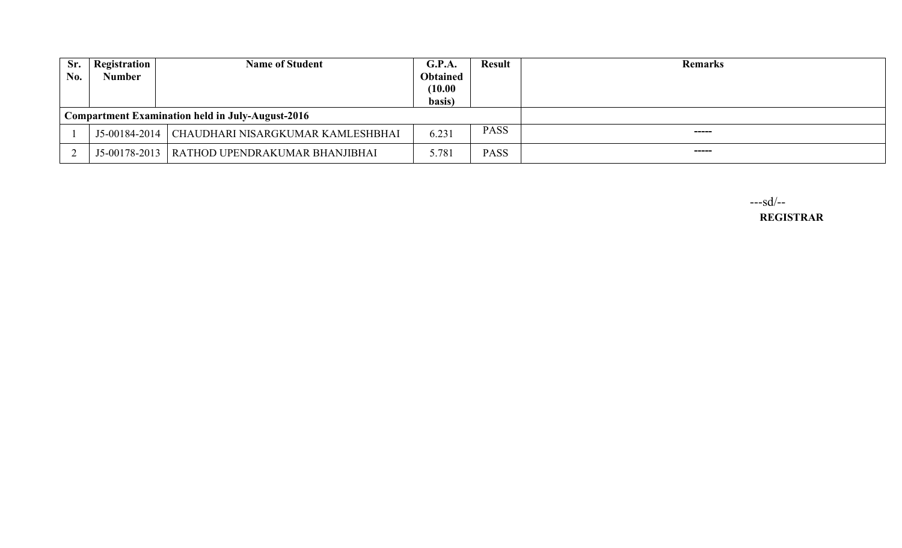| Sr.<br>No. | <b>Registration</b><br><b>Number</b> | <b>Name of Student</b>                           | G.P.A.<br><b>Obtained</b><br>(10.00)<br>basis) | <b>Result</b> | <b>Remarks</b> |
|------------|--------------------------------------|--------------------------------------------------|------------------------------------------------|---------------|----------------|
|            |                                      | Compartment Examination held in July-August-2016 |                                                |               |                |
|            | J5-00184-2014                        | CHAUDHARI NISARGKUMAR KAMLESHBHAI                | 6.231                                          | <b>PASS</b>   | ------         |
|            |                                      | J5-00178-2013   RATHOD UPENDRAKUMAR BHANJIBHAI   | 5.781                                          | <b>PASS</b>   | ------         |

 ---sd/-- REGISTRAR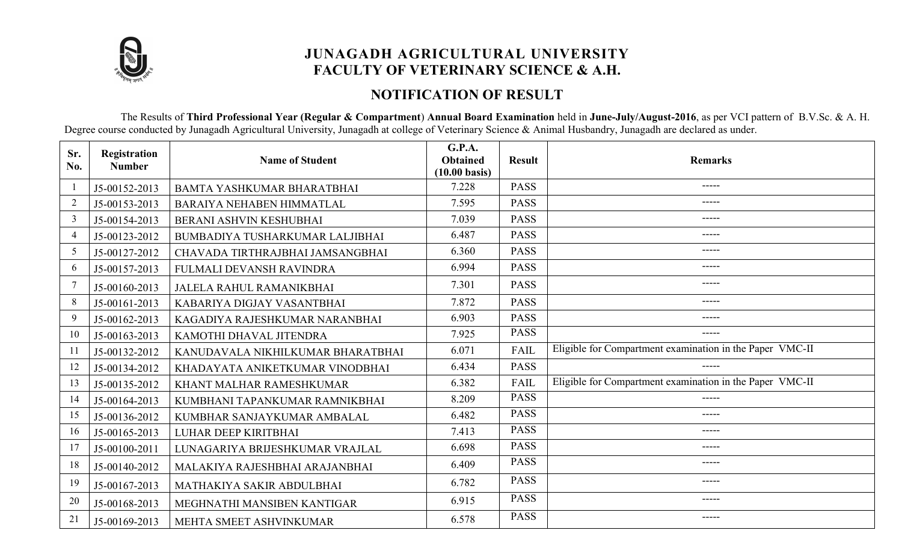

# JUNAGADH AGRICULTURAL UNIVERSITY FACULTY OF VETERINARY SCIENCE & A.H.

#### NOTIFICATION OF RESULT

The Results of Third Professional Year (Regular & Compartment) Annual Board Examination held in June-July/August-2016, as per VCI pattern of B.V.Sc. & A. H. Degree course conducted by Junagadh Agricultural University, Junagadh at college of Veterinary Science & Animal Husbandry, Junagadh are declared as under.

| Sr.<br>No.     | Registration<br><b>Number</b> | <b>Name of Student</b>            | G.P.A.<br><b>Obtained</b><br>$(10.00 \text{ basis})$ | <b>Result</b> | <b>Remarks</b>                                           |
|----------------|-------------------------------|-----------------------------------|------------------------------------------------------|---------------|----------------------------------------------------------|
|                | J5-00152-2013                 | <b>BAMTA YASHKUMAR BHARATBHAI</b> | 7.228                                                | <b>PASS</b>   | -----                                                    |
| $\overline{2}$ | J5-00153-2013                 | <b>BARAIYA NEHABEN HIMMATLAL</b>  | 7.595                                                | <b>PASS</b>   | -----                                                    |
| $\overline{3}$ | J5-00154-2013                 | <b>BERANI ASHVIN KESHUBHAI</b>    | 7.039                                                | <b>PASS</b>   | -----                                                    |
| $\overline{4}$ | J5-00123-2012                 | BUMBADIYA TUSHARKUMAR LALJIBHAI   | 6.487                                                | <b>PASS</b>   | -----                                                    |
| 5              | J5-00127-2012                 | CHAVADA TIRTHRAJBHAI JAMSANGBHAI  | 6.360                                                | <b>PASS</b>   | -----                                                    |
| 6              | J5-00157-2013                 | FULMALI DEVANSH RAVINDRA          | 6.994                                                | <b>PASS</b>   | -----                                                    |
|                | J5-00160-2013                 | <b>JALELA RAHUL RAMANIKBHAI</b>   | 7.301                                                | <b>PASS</b>   | -----                                                    |
| 8              | J5-00161-2013                 | KABARIYA DIGJAY VASANTBHAI        | 7.872                                                | <b>PASS</b>   | -----                                                    |
| 9              | J5-00162-2013                 | KAGADIYA RAJESHKUMAR NARANBHAI    | 6.903                                                | <b>PASS</b>   | -----                                                    |
| 10             | J5-00163-2013                 | KAMOTHI DHAVAL JITENDRA           | 7.925                                                | <b>PASS</b>   | -----                                                    |
| -11            | J5-00132-2012                 | KANUDAVALA NIKHILKUMAR BHARATBHAI | 6.071                                                | FAIL          | Eligible for Compartment examination in the Paper VMC-II |
| 12             | J5-00134-2012                 | KHADAYATA ANIKETKUMAR VINODBHAI   | 6.434                                                | <b>PASS</b>   |                                                          |
| 13             | J5-00135-2012                 | KHANT MALHAR RAMESHKUMAR          | 6.382                                                | FAIL          | Eligible for Compartment examination in the Paper VMC-II |
| 14             | J5-00164-2013                 | KUMBHANI TAPANKUMAR RAMNIKBHAI    | 8.209                                                | <b>PASS</b>   | -----                                                    |
| 15             | J5-00136-2012                 | KUMBHAR SANJAYKUMAR AMBALAL       | 6.482                                                | <b>PASS</b>   | -----                                                    |
| 16             | J5-00165-2013                 | <b>LUHAR DEEP KIRITBHAI</b>       | 7.413                                                | <b>PASS</b>   | -----                                                    |
| 17             | J5-00100-2011                 | LUNAGARIYA BRIJESHKUMAR VRAJLAL   | 6.698                                                | <b>PASS</b>   | -----                                                    |
| 18             | J5-00140-2012                 | MALAKIYA RAJESHBHAI ARAJANBHAI    | 6.409                                                | <b>PASS</b>   | -----                                                    |
| 19             | J5-00167-2013                 | MATHAKIYA SAKIR ABDULBHAI         | 6.782                                                | <b>PASS</b>   | -----                                                    |
| 20             | J5-00168-2013                 | MEGHNATHI MANSIBEN KANTIGAR       | 6.915                                                | <b>PASS</b>   | -----                                                    |
| 21             | J5-00169-2013                 | MEHTA SMEET ASHVINKUMAR           | 6.578                                                | <b>PASS</b>   | -----                                                    |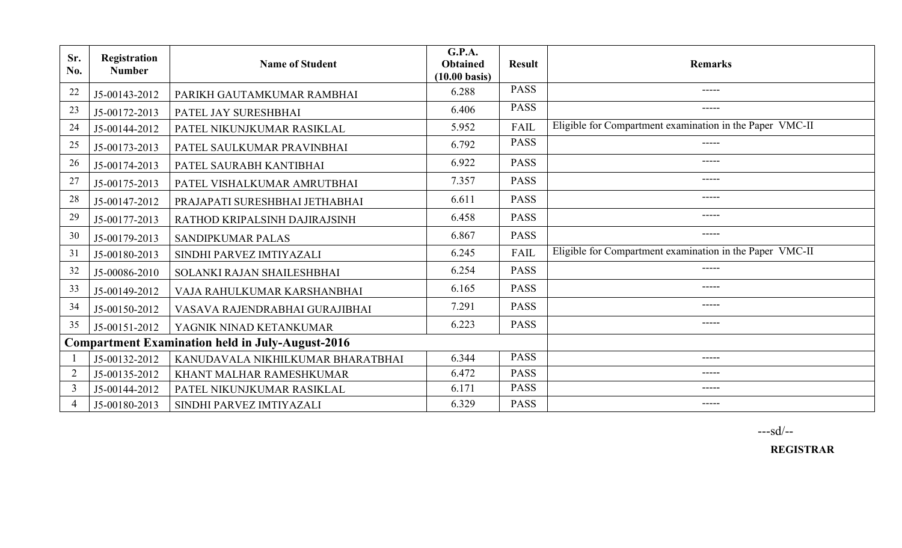| Sr.<br>No.                                              | Registration<br><b>Number</b> | <b>Name of Student</b>            | G.P.A.<br><b>Obtained</b><br>$(10.00 \text{ basis})$ | <b>Result</b> | <b>Remarks</b>                                           |
|---------------------------------------------------------|-------------------------------|-----------------------------------|------------------------------------------------------|---------------|----------------------------------------------------------|
| 22                                                      | J5-00143-2012                 | PARIKH GAUTAMKUMAR RAMBHAI        | 6.288                                                | <b>PASS</b>   | $- - - - -$                                              |
| 23                                                      | J5-00172-2013                 | PATEL JAY SURESHBHAI              | 6.406                                                | <b>PASS</b>   | $--- - - -$                                              |
| 24                                                      | J5-00144-2012                 | PATEL NIKUNJKUMAR RASIKLAL        | 5.952                                                | <b>FAIL</b>   | Eligible for Compartment examination in the Paper VMC-II |
| 25                                                      | J5-00173-2013                 | PATEL SAULKUMAR PRAVINBHAI        | 6.792                                                | <b>PASS</b>   | -----                                                    |
| 26                                                      | J5-00174-2013                 | PATEL SAURABH KANTIBHAI           | 6.922                                                | <b>PASS</b>   | -----                                                    |
| 27                                                      | J5-00175-2013                 | PATEL VISHALKUMAR AMRUTBHAI       | 7.357                                                | <b>PASS</b>   | $--- - - -$                                              |
| 28                                                      | J5-00147-2012                 | PRAJAPATI SURESHBHAI JETHABHAI    | 6.611                                                | <b>PASS</b>   | $---$                                                    |
| 29                                                      | J5-00177-2013                 | RATHOD KRIPALSINH DAJIRAJSINH     | 6.458                                                | <b>PASS</b>   | $- - - - -$                                              |
| 30                                                      | J5-00179-2013                 | SANDIPKUMAR PALAS                 | 6.867                                                | <b>PASS</b>   | -----                                                    |
| 31                                                      | J5-00180-2013                 | SINDHI PARVEZ IMTIYAZALI          | 6.245                                                | <b>FAIL</b>   | Eligible for Compartment examination in the Paper VMC-II |
| 32                                                      | J5-00086-2010                 | SOLANKI RAJAN SHAILESHBHAI        | 6.254                                                | <b>PASS</b>   | -----                                                    |
| 33                                                      | J5-00149-2012                 | VAJA RAHULKUMAR KARSHANBHAI       | 6.165                                                | <b>PASS</b>   | $- - - - -$                                              |
| 34                                                      | J5-00150-2012                 | VASAVA RAJENDRABHAI GURAJIBHAI    | 7.291                                                | <b>PASS</b>   | $--- -$                                                  |
| 35                                                      | J5-00151-2012                 | YAGNIK NINAD KETANKUMAR           | 6.223                                                | <b>PASS</b>   | $\frac{1}{2}$                                            |
| <b>Compartment Examination held in July-August-2016</b> |                               |                                   |                                                      |               |                                                          |
|                                                         | J5-00132-2012                 | KANUDAVALA NIKHILKUMAR BHARATBHAI | 6.344                                                | <b>PASS</b>   | $- - - - -$                                              |
| $\overline{2}$                                          | J5-00135-2012                 | KHANT MALHAR RAMESHKUMAR          | 6.472                                                | <b>PASS</b>   | -----                                                    |
| $\overline{3}$                                          | J5-00144-2012                 | PATEL NIKUNJKUMAR RASIKLAL        | 6.171                                                | <b>PASS</b>   | $--- - - -$                                              |
| $\overline{4}$                                          | J5-00180-2013                 | SINDHI PARVEZ IMTIYAZALI          | 6.329                                                | <b>PASS</b>   | $- - - - -$                                              |

---sd/--

REGISTRAR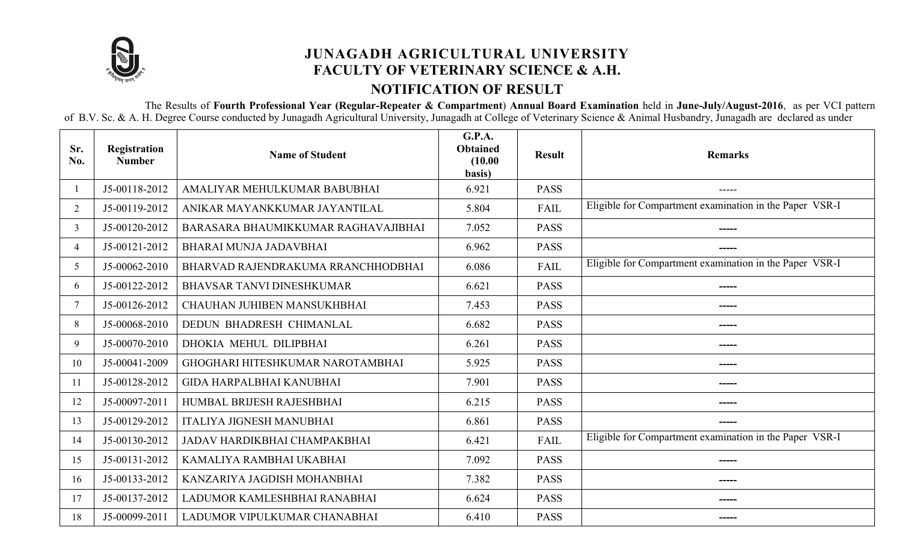

# JUNAGADH AGRICULTURAL UNIVERSITY FACULTY OF VETERINARY SCIENCE & A.H. NOTIFICATION OF RESULT

 The Results of Fourth Professional Year (Regular-Repeater & Compartment) Annual Board Examination held in June-July/August-2016, as per VCI pattern of B.V. Sc. & A. H. Degree Course conducted by Junagadh Agricultural University, Junagadh at College of Veterinary Science & Animal Husbandry, Junagadh are declared as under

| Sr.<br>No.     | Registration<br><b>Number</b> | <b>Name of Student</b>              | <b>G.P.A.</b><br><b>Obtained</b><br>(10.00)<br>basis) | <b>Result</b> | <b>Remarks</b>                                          |
|----------------|-------------------------------|-------------------------------------|-------------------------------------------------------|---------------|---------------------------------------------------------|
|                | J5-00118-2012                 | AMALIYAR MEHULKUMAR BABUBHAI        | 6.921                                                 | <b>PASS</b>   | -----                                                   |
| $\overline{2}$ | J5-00119-2012                 | ANIKAR MAYANKKUMAR JAYANTILAL       | 5.804                                                 | FAIL          | Eligible for Compartment examination in the Paper VSR-I |
| 3              | J5-00120-2012                 | BARASARA BHAUMIKKUMAR RAGHAVAJIBHAI | 7.052                                                 | <b>PASS</b>   |                                                         |
| 4              | J5-00121-2012                 | BHARAI MUNJA JADAVBHAI              | 6.962                                                 | <b>PASS</b>   |                                                         |
| 5              | J5-00062-2010                 | BHARVAD RAJENDRAKUMA RRANCHHODBHAI  | 6.086                                                 | FAIL          | Eligible for Compartment examination in the Paper VSR-I |
| 6              | J5-00122-2012                 | <b>BHAVSAR TANVI DINESHKUMAR</b>    | 6.621                                                 | <b>PASS</b>   |                                                         |
|                | J5-00126-2012                 | CHAUHAN JUHIBEN MANSUKHBHAI         | 7.453                                                 | <b>PASS</b>   | -----                                                   |
| 8              | J5-00068-2010                 | DEDUN BHADRESH CHIMANLAL            | 6.682                                                 | <b>PASS</b>   |                                                         |
| 9              | J5-00070-2010                 | DHOKIA MEHUL DILIPBHAI              | 6.261                                                 | <b>PASS</b>   | -----                                                   |
| 10             | J5-00041-2009                 | GHOGHARI HITESHKUMAR NAROTAMBHAI    | 5.925                                                 | <b>PASS</b>   | -----                                                   |
| 11             | J5-00128-2012                 | <b>GIDA HARPALBHAI KANUBHAI</b>     | 7.901                                                 | <b>PASS</b>   |                                                         |
| 12             | J5-00097-2011                 | HUMBAL BRIJESH RAJESHBHAI           | 6.215                                                 | <b>PASS</b>   |                                                         |
| 13             | J5-00129-2012                 | <b>ITALIYA JIGNESH MANUBHAI</b>     | 6.861                                                 | <b>PASS</b>   |                                                         |
| 14             | J5-00130-2012                 | JADAV HARDIKBHAI CHAMPAKBHAI        | 6.421                                                 | FAIL          | Eligible for Compartment examination in the Paper VSR-I |
| 15             | J5-00131-2012                 | KAMALIYA RAMBHAI UKABHAI            | 7.092                                                 | <b>PASS</b>   |                                                         |
| 16             | J5-00133-2012                 | KANZARIYA JAGDISH MOHANBHAI         | 7.382                                                 | <b>PASS</b>   | -----                                                   |
| 17             | J5-00137-2012                 | LADUMOR KAMLESHBHAI RANABHAI        | 6.624                                                 | <b>PASS</b>   | -----                                                   |
| 18             | J5-00099-2011                 | LADUMOR VIPULKUMAR CHANABHAI        | 6.410                                                 | <b>PASS</b>   | -----                                                   |